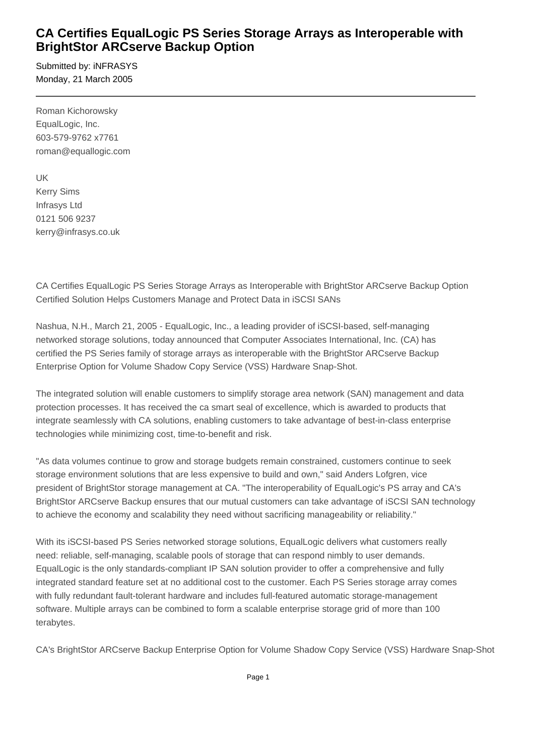## **CA Certifies EqualLogic PS Series Storage Arrays as Interoperable with BrightStor ARCserve Backup Option**

Submitted by: iNFRASYS Monday, 21 March 2005

Roman Kichorowsky EqualLogic, Inc. 603-579-9762 x7761 roman@equallogic.com

UK Kerry Sims Infrasys Ltd 0121 506 9237 kerry@infrasys.co.uk

CA Certifies EqualLogic PS Series Storage Arrays as Interoperable with BrightStor ARCserve Backup Option Certified Solution Helps Customers Manage and Protect Data in iSCSI SANs

Nashua, N.H., March 21, 2005 - EqualLogic, Inc., a leading provider of iSCSI-based, self-managing networked storage solutions, today announced that Computer Associates International, Inc. (CA) has certified the PS Series family of storage arrays as interoperable with the BrightStor ARCserve Backup Enterprise Option for Volume Shadow Copy Service (VSS) Hardware Snap-Shot.

The integrated solution will enable customers to simplify storage area network (SAN) management and data protection processes. It has received the ca smart seal of excellence, which is awarded to products that integrate seamlessly with CA solutions, enabling customers to take advantage of best-in-class enterprise technologies while minimizing cost, time-to-benefit and risk.

"As data volumes continue to grow and storage budgets remain constrained, customers continue to seek storage environment solutions that are less expensive to build and own," said Anders Lofgren, vice president of BrightStor storage management at CA. "The interoperability of EqualLogic's PS array and CA's BrightStor ARCserve Backup ensures that our mutual customers can take advantage of iSCSI SAN technology to achieve the economy and scalability they need without sacrificing manageability or reliability."

With its iSCSI-based PS Series networked storage solutions, EqualLogic delivers what customers really need: reliable, self-managing, scalable pools of storage that can respond nimbly to user demands. EqualLogic is the only standards-compliant IP SAN solution provider to offer a comprehensive and fully integrated standard feature set at no additional cost to the customer. Each PS Series storage array comes with fully redundant fault-tolerant hardware and includes full-featured automatic storage-management software. Multiple arrays can be combined to form a scalable enterprise storage grid of more than 100 terabytes.

CA's BrightStor ARCserve Backup Enterprise Option for Volume Shadow Copy Service (VSS) Hardware Snap-Shot